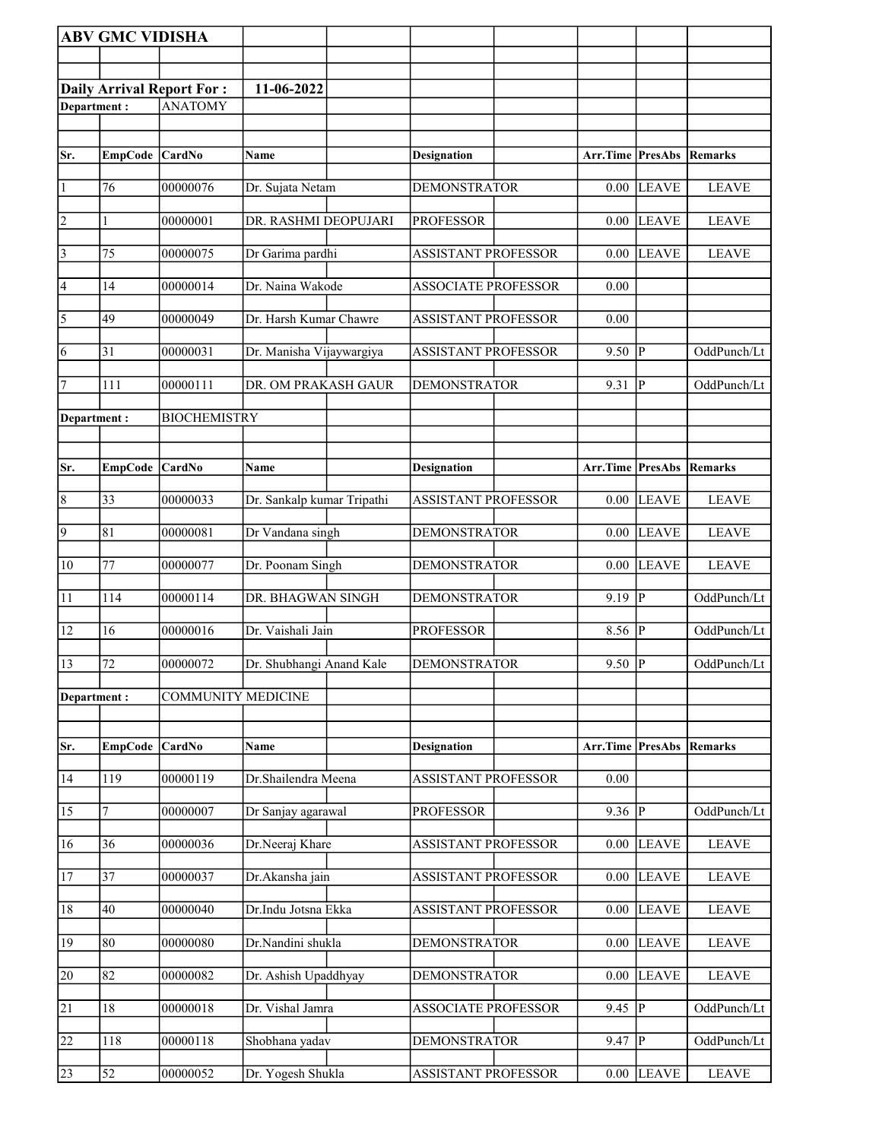|                       | <b>ABV GMC VIDISHA</b> |                                  |                            |                            |                          |                |              |
|-----------------------|------------------------|----------------------------------|----------------------------|----------------------------|--------------------------|----------------|--------------|
|                       |                        |                                  |                            |                            |                          |                |              |
|                       |                        | <b>Daily Arrival Report For:</b> | 11-06-2022                 |                            |                          |                |              |
| Department:           |                        | ANATOMY                          |                            |                            |                          |                |              |
|                       |                        |                                  |                            |                            |                          |                |              |
| Sr.                   | EmpCode CardNo         |                                  | Name                       | <b>Designation</b>         | Arr.Time PresAbs         |                | Remarks      |
| 1                     | 76                     | 00000076                         | Dr. Sujata Netam           | <b>DEMONSTRATOR</b>        | 0.00                     | <b>LEAVE</b>   | <b>LEAVE</b> |
| $\overline{2}$        |                        | 00000001                         | DR. RASHMI DEOPUJARI       | <b>PROFESSOR</b>           | 0.00                     | <b>LEAVE</b>   | <b>LEAVE</b> |
| $\vert$ 3             | 75                     | 00000075                         | Dr Garima pardhi           | <b>ASSISTANT PROFESSOR</b> | $0.00\,$                 | <b>LEAVE</b>   | <b>LEAVE</b> |
| 4                     | 14                     | 00000014                         | Dr. Naina Wakode           | <b>ASSOCIATE PROFESSOR</b> | 0.00                     |                |              |
| $\overline{\sqrt{5}}$ | 49                     | 00000049                         | Dr. Harsh Kumar Chawre     | <b>ASSISTANT PROFESSOR</b> | 0.00                     |                |              |
| 6                     | 31                     | 00000031                         | Dr. Manisha Vijaywargiya   | <b>ASSISTANT PROFESSOR</b> | 9.50                     | $\overline{P}$ | OddPunch/Lt  |
| 17                    | 111                    | 00000111                         | DR. OM PRAKASH GAUR        | <b>DEMONSTRATOR</b>        | 9.31                     | P              | OddPunch/Lt  |
| Department:           |                        | <b>BIOCHEMISTRY</b>              |                            |                            |                          |                |              |
|                       |                        |                                  |                            |                            |                          |                |              |
| Sr.                   | <b>EmpCode</b>         | <b>CardNo</b>                    | Name                       | <b>Designation</b>         | Arr.Time                 | PresAbs        | Remarks      |
| $\overline{8}$        | 33                     | 00000033                         | Dr. Sankalp kumar Tripathi | <b>ASSISTANT PROFESSOR</b> | 0.00                     | <b>LEAVE</b>   | <b>LEAVE</b> |
| $\overline{9}$        | 81                     | 00000081                         | Dr Vandana singh           | <b>DEMONSTRATOR</b>        | 0.00                     | <b>LEAVE</b>   | <b>LEAVE</b> |
| 10                    | 77                     | 00000077                         | Dr. Poonam Singh           | <b>DEMONSTRATOR</b>        | 0.00                     | <b>LEAVE</b>   | <b>LEAVE</b> |
| 11                    | 114                    | 00000114                         | DR. BHAGWAN SINGH          | <b>DEMONSTRATOR</b>        | $9.19$ P                 |                | OddPunch/Lt  |
| 12                    | 16                     | 00000016                         | Dr. Vaishali Jain          | <b>PROFESSOR</b>           | 8.56                     | $\overline{P}$ | OddPunch/Lt  |
| $\sqrt{13}$           | 72                     | 00000072                         | Dr. Shubhangi Anand Kale   | <b>DEMONSTRATOR</b>        | $9.50$ P                 |                | OddPunch/Lt  |
| Department:           |                        | <b>COMMUNITY MEDICINE</b>        |                            |                            |                          |                |              |
|                       |                        |                                  |                            |                            |                          |                |              |
| Sr.                   | <b>EmpCode</b>         | <b>CardNo</b>                    | Name                       | <b>Designation</b>         | Arr.Time PresAbs Remarks |                |              |
| 14                    | 119                    | 00000119                         | Dr.Shailendra Meena        | <b>ASSISTANT PROFESSOR</b> | 0.00                     |                |              |
| 15                    | 7                      | 00000007                         | Dr Sanjay agarawal         | <b>PROFESSOR</b>           | 9.36                     | ${\bf P}$      | OddPunch/Lt  |
| 16                    | 36                     | 00000036                         | Dr.Neeraj Khare            | <b>ASSISTANT PROFESSOR</b> | 0.00                     | <b>LEAVE</b>   | <b>LEAVE</b> |
| 17                    | 37                     | 00000037                         | Dr.Akansha jain            | <b>ASSISTANT PROFESSOR</b> | 0.00                     | <b>LEAVE</b>   | <b>LEAVE</b> |
| 18                    | 40                     | 00000040                         | Dr.Indu Jotsna Ekka        | <b>ASSISTANT PROFESSOR</b> | 0.00                     | <b>LEAVE</b>   | <b>LEAVE</b> |
| 19                    | 80                     | 00000080                         | Dr.Nandini shukla          | <b>DEMONSTRATOR</b>        | 0.00                     | <b>LEAVE</b>   | <b>LEAVE</b> |
| 20                    | 82                     | 00000082                         | Dr. Ashish Upaddhyay       | <b>DEMONSTRATOR</b>        | 0.00                     | <b>LEAVE</b>   | <b>LEAVE</b> |
| $\overline{21}$       | 18                     | 00000018                         | Dr. Vishal Jamra           | <b>ASSOCIATE PROFESSOR</b> | 9.45                     | $\overline{P}$ | OddPunch/Lt  |
| 22                    | $\overline{1}18$       | 00000118                         | Shobhana yadav             | <b>DEMONSTRATOR</b>        | 9.47                     | $\mathbf P$    | OddPunch/Lt  |
| 23                    | 52                     | 00000052                         | Dr. Yogesh Shukla          | ASSISTANT PROFESSOR        | 0.00                     | <b>LEAVE</b>   | <b>LEAVE</b> |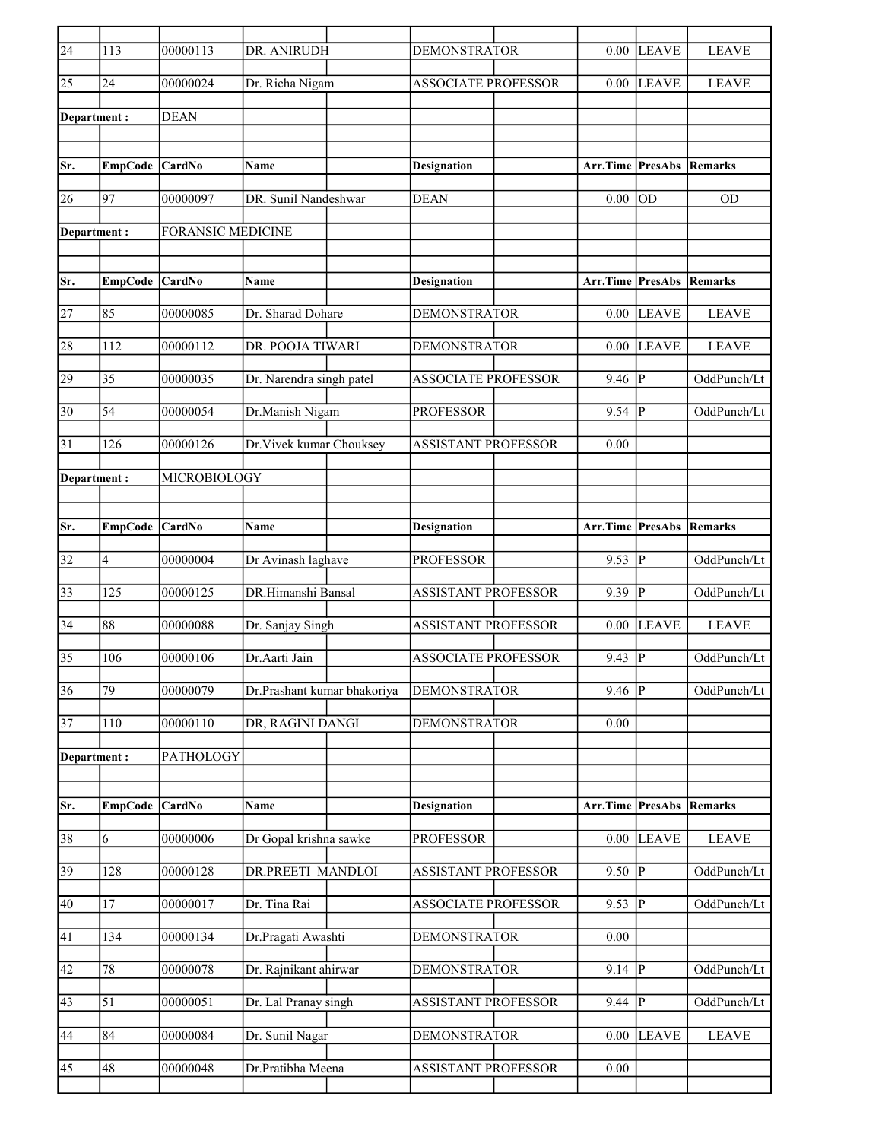| $\sqrt{24}$     | 113            | 00000113                 | DR. ANIRUDH                 | <b>DEMONSTRATOR</b>        | 0.00                    | <b>LEAVE</b>           | <b>LEAVE</b>   |
|-----------------|----------------|--------------------------|-----------------------------|----------------------------|-------------------------|------------------------|----------------|
| 25              | 24             | 00000024                 | Dr. Richa Nigam             | <b>ASSOCIATE PROFESSOR</b> | 0.00                    | <b>LEAVE</b>           | <b>LEAVE</b>   |
| Department:     |                | <b>DEAN</b>              |                             |                            |                         |                        |                |
|                 |                |                          |                             |                            |                         |                        |                |
| Sr.             | <b>EmpCode</b> | CardNo                   | Name                        | <b>Designation</b>         | Arr.Time                | <b>PresAbs Remarks</b> |                |
| 26              | 97             | 00000097                 | DR. Sunil Nandeshwar        | <b>DEAN</b>                | 0.00                    | OD                     | <b>OD</b>      |
| Department:     |                | <b>FORANSIC MEDICINE</b> |                             |                            |                         |                        |                |
|                 |                |                          |                             |                            |                         |                        |                |
| Sr.             | <b>EmpCode</b> | <b>CardNo</b>            | Name                        | <b>Designation</b>         | Arr.Time                | <b>PresAbs</b>         | <b>Remarks</b> |
| 27              | 85             | 00000085                 | Dr. Sharad Dohare           | <b>DEMONSTRATOR</b>        | 0.00                    | <b>LEAVE</b>           | <b>LEAVE</b>   |
| 28              | 112            | 00000112                 | DR. POOJA TIWARI            | <b>DEMONSTRATOR</b>        | 0.00                    | <b>LEAVE</b>           | <b>LEAVE</b>   |
| 29              | 35             | 00000035                 | Dr. Narendra singh patel    | <b>ASSOCIATE PROFESSOR</b> | 9.46                    | $\mathbf{P}$           | OddPunch/Lt    |
| 30              | 54             | 00000054                 | Dr.Manish Nigam             | <b>PROFESSOR</b>           | 9.54                    | $\mathbf{P}$           | OddPunch/Lt    |
| 31              | 126            | 00000126                 | Dr. Vivek kumar Chouksey    | <b>ASSISTANT PROFESSOR</b> | 0.00                    |                        |                |
| Department :    |                | MICROBIOLOGY             |                             |                            |                         |                        |                |
|                 |                |                          |                             |                            |                         |                        |                |
| Sr.             | EmpCode CardNo |                          | <b>Name</b>                 | <b>Designation</b>         | <b>Arr.Time PresAbs</b> |                        | Remarks        |
| 32              | 4              | 00000004                 | Dr Avinash laghave          | <b>PROFESSOR</b>           | 9.53                    | P                      | OddPunch/Lt    |
| 33              | 125            | 00000125                 | DR.Himanshi Bansal          | <b>ASSISTANT PROFESSOR</b> | 9.39                    | $\overline{P}$         | OddPunch/Lt    |
| $\overline{34}$ | 88             | 00000088                 | Dr. Sanjay Singh            | <b>ASSISTANT PROFESSOR</b> | 0.00                    | <b>LEAVE</b>           | <b>LEAVE</b>   |
| 35              | 106            | 00000106                 | Dr.Aarti Jain               | <b>ASSOCIATE PROFESSOR</b> | 9.43                    | $\mathbf P$            | OddPunch/Lt    |
| $\overline{36}$ | 79             | 00000079                 | Dr.Prashant kumar bhakoriya | <b>DEMONSTRATOR</b>        | 9.46                    | $\overline{P}$         | OddPunch/Lt    |
| 37              | 110            | 00000110                 | DR, RAGINI DANGI            | <b>DEMONSTRATOR</b>        | 0.00                    |                        |                |
| Department:     |                | PATHOLOGY                |                             |                            |                         |                        |                |
|                 |                |                          |                             |                            |                         |                        |                |
| Sr.             | <b>EmpCode</b> | <b>CardNo</b>            | Name                        | <b>Designation</b>         | Arr.Time PresAbs        |                        | Remarks        |
| 38              | 6              | 00000006                 | Dr Gopal krishna sawke      | <b>PROFESSOR</b>           | 0.00                    | <b>LEAVE</b>           | <b>LEAVE</b>   |
| 39              | 128            | 00000128                 | DR.PREETI MANDLOI           | <b>ASSISTANT PROFESSOR</b> | $9.50$ P                |                        | OddPunch/Lt    |
| 40              | 17             | 00000017                 | Dr. Tina Rai                | <b>ASSOCIATE PROFESSOR</b> | 9.53                    | $\mathbf{P}$           | OddPunch/Lt    |
| 41              | 134            | 00000134                 | Dr.Pragati Awashti          | <b>DEMONSTRATOR</b>        | 0.00                    |                        |                |
| 42              | $78\,$         | 00000078                 | Dr. Rajnikant ahirwar       | <b>DEMONSTRATOR</b>        | 9.14                    | $\mathbf P$            | OddPunch/Lt    |
| 43              | 51             | 00000051                 | Dr. Lal Pranay singh        | ASSISTANT PROFESSOR        | 9.44                    | $\mathbf{P}$           | OddPunch/Lt    |
| 44              | 84             | 00000084                 | Dr. Sunil Nagar             | <b>DEMONSTRATOR</b>        | 0.00                    | <b>LEAVE</b>           | <b>LEAVE</b>   |
| 45              | 48             | 00000048                 | Dr.Pratibha Meena           | ASSISTANT PROFESSOR        | 0.00                    |                        |                |
|                 |                |                          |                             |                            |                         |                        |                |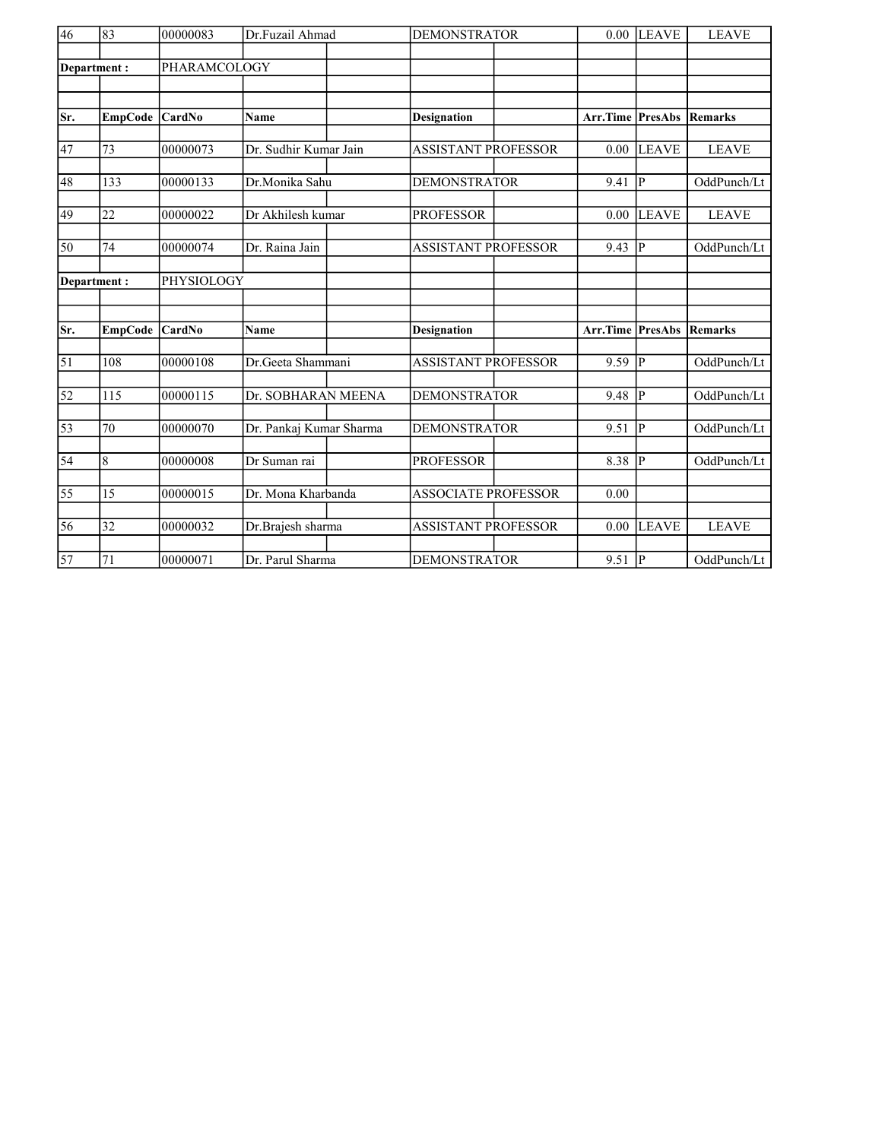| $\overline{46}$ | 83             | 00000083      | Dr.Fuzail Ahmad         | <b>DEMONSTRATOR</b>        | 0.00                    | <b>LEAVE</b>            | <b>LEAVE</b>   |
|-----------------|----------------|---------------|-------------------------|----------------------------|-------------------------|-------------------------|----------------|
|                 |                | PHARAMCOLOGY  |                         |                            |                         |                         |                |
| Department:     |                |               |                         |                            |                         |                         |                |
|                 |                |               |                         |                            |                         |                         |                |
| Sr.             | <b>EmpCode</b> | CardNo        | <b>Name</b>             | <b>Designation</b>         | <b>Arr.Time PresAbs</b> |                         | Remarks        |
|                 |                |               |                         |                            |                         |                         |                |
| 47              | 73             | 00000073      | Dr. Sudhir Kumar Jain   | <b>ASSISTANT PROFESSOR</b> | 0.00                    | <b>LEAVE</b>            | <b>LEAVE</b>   |
| 48              | 133            | 00000133      | Dr.Monika Sahu          | <b>DEMONSTRATOR</b>        | 9.41                    | P                       | OddPunch/Lt    |
|                 |                |               | Dr Akhilesh kumar       |                            |                         |                         |                |
| 49              | 22             | 00000022      |                         | <b>PROFESSOR</b>           | 0.00                    | <b>LEAVE</b>            | <b>LEAVE</b>   |
| 50              | 74             | 00000074      | Dr. Raina Jain          | <b>ASSISTANT PROFESSOR</b> | 9.43                    | $\overline{P}$          | OddPunch/Lt    |
|                 | Department:    | PHYSIOLOGY    |                         |                            |                         |                         |                |
|                 |                |               |                         |                            |                         |                         |                |
|                 |                |               |                         |                            |                         |                         |                |
| Sr.             | <b>EmpCode</b> | <b>CardNo</b> | Name                    | <b>Designation</b>         | Arr.Time                | PresAbs                 | <b>Remarks</b> |
| $\overline{51}$ | 108            | 00000108      | Dr.Geeta Shammani       | <b>ASSISTANT PROFESSOR</b> | 9.59                    | P                       | OddPunch/Lt    |
|                 |                |               |                         |                            |                         |                         |                |
| $\overline{52}$ | 115            | 00000115      | Dr. SOBHARAN MEENA      | <b>DEMONSTRATOR</b>        | 9.48                    | P                       | OddPunch/Lt    |
| $\overline{53}$ | 70             | 00000070      | Dr. Pankaj Kumar Sharma | <b>DEMONSTRATOR</b>        | 9.51                    | P                       | OddPunch/Lt    |
| $\overline{54}$ | $\overline{8}$ | 00000008      | Dr Suman rai            | <b>PROFESSOR</b>           | 8.38                    | $\overline{\mathbb{P}}$ | OddPunch/Lt    |
|                 |                |               |                         |                            |                         |                         |                |
| 55              | 15             | 00000015      | Dr. Mona Kharbanda      | <b>ASSOCIATE PROFESSOR</b> | 0.00                    |                         |                |
| 56              | 32             | 00000032      | Dr.Brajesh sharma       | <b>ASSISTANT PROFESSOR</b> | 0.00                    | <b>LEAVE</b>            | <b>LEAVE</b>   |
|                 |                |               |                         |                            |                         |                         |                |
| $\overline{57}$ | 71             | 00000071      | Dr. Parul Sharma        | <b>DEMONSTRATOR</b>        | $9.51$ P                |                         | OddPunch/Lt    |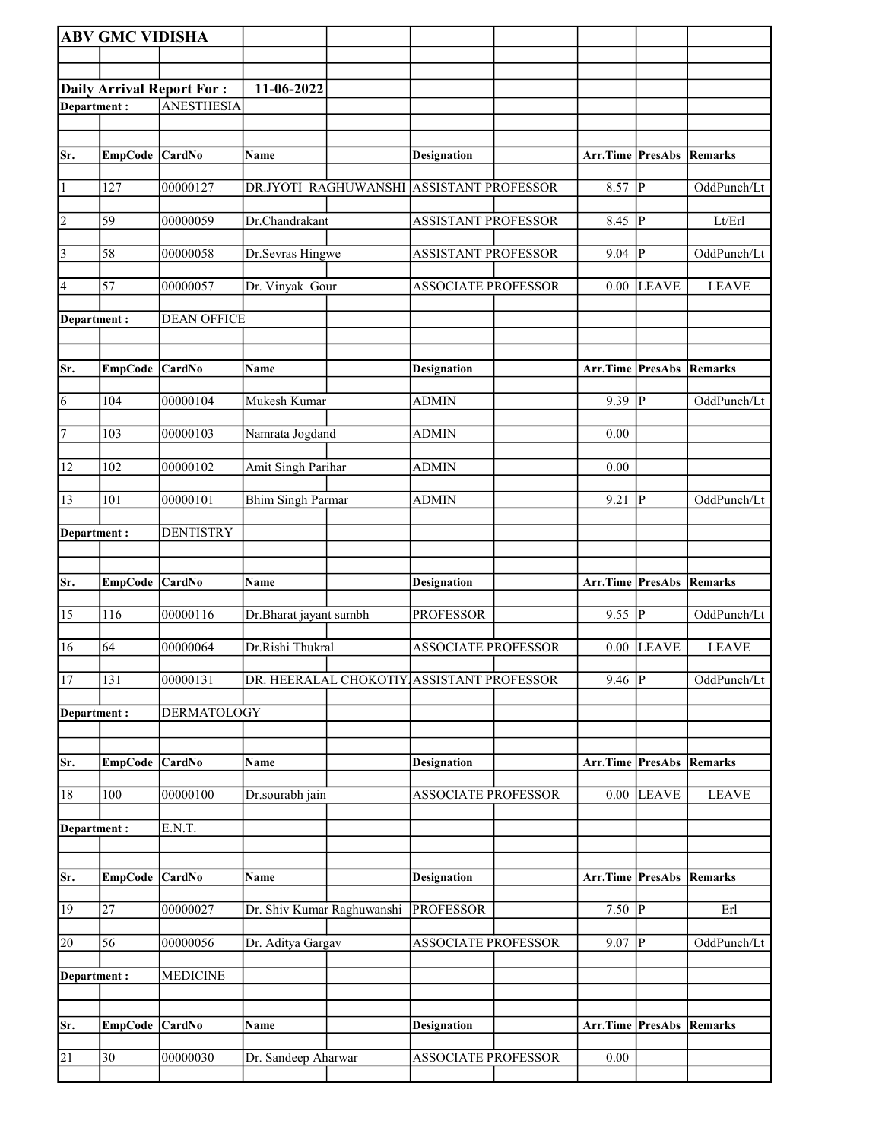|                | <b>ABV GMC VIDISHA</b> |                                  |                                           |                                          |                                 |                |                |
|----------------|------------------------|----------------------------------|-------------------------------------------|------------------------------------------|---------------------------------|----------------|----------------|
|                |                        |                                  |                                           |                                          |                                 |                |                |
|                |                        | <b>Daily Arrival Report For:</b> | 11-06-2022                                |                                          |                                 |                |                |
| Department:    |                        | <b>ANESTHESIA</b>                |                                           |                                          |                                 |                |                |
|                |                        |                                  |                                           |                                          |                                 |                |                |
|                |                        |                                  |                                           |                                          |                                 |                |                |
| Sr.            | EmpCode CardNo         |                                  | Name                                      | <b>Designation</b>                       | <b>Arr.Time PresAbs Remarks</b> |                |                |
| $\vert$ 1      | 127                    | 00000127                         |                                           | DR.JYOTI RAGHUWANSHI ASSISTANT PROFESSOR | 8.57                            | $\overline{P}$ | OddPunch/Lt    |
| $\overline{2}$ | 59                     | 00000059                         | Dr.Chandrakant                            | <b>ASSISTANT PROFESSOR</b>               | $8.45$ P                        |                | Lt/Erl         |
| $\overline{3}$ | 58                     | 00000058                         | Dr.Sevras Hingwe                          | ASSISTANT PROFESSOR                      | 9.04                            | P              | OddPunch/Lt    |
| 4              | 57                     | 00000057                         | Dr. Vinyak Gour                           | <b>ASSOCIATE PROFESSOR</b>               | 0.00                            | <b>LEAVE</b>   | <b>LEAVE</b>   |
| Department :   |                        | <b>DEAN OFFICE</b>               |                                           |                                          |                                 |                |                |
| Sr.            | EmpCode CardNo         |                                  | Name                                      | <b>Designation</b>                       | <b>Arr.Time PresAbs Remarks</b> |                |                |
|                |                        |                                  |                                           |                                          |                                 |                |                |
| $\overline{6}$ | 104                    | 00000104                         | Mukesh Kumar                              | <b>ADMIN</b>                             | 9.39                            | $\mathbf{P}$   | OddPunch/Lt    |
| 7              | 103                    | 00000103                         | Namrata Jogdand                           | <b>ADMIN</b>                             | 0.00                            |                |                |
| 12             | 102                    | 00000102                         | Amit Singh Parihar                        | <b>ADMIN</b>                             | 0.00                            |                |                |
| 13             | 101                    | 00000101                         | <b>Bhim Singh Parmar</b>                  | <b>ADMIN</b>                             | 9.21                            | P              | OddPunch/Lt    |
| Department:    |                        | <b>DENTISTRY</b>                 |                                           |                                          |                                 |                |                |
|                |                        |                                  |                                           |                                          |                                 |                |                |
| Sr.            | <b>EmpCode</b>         | <b>CardNo</b>                    | Name                                      | Designation                              | Arr.Time PresAbs                |                | Remarks        |
| 15             | 116                    | 00000116                         | Dr.Bharat jayant sumbh                    | <b>PROFESSOR</b>                         | 9.55                            | $\overline{P}$ | OddPunch/Lt    |
| 16             | 64                     | 00000064                         | Dr.Rishi Thukral                          | <b>ASSOCIATE PROFESSOR</b>               | 0.00                            | <b>LEAVE</b>   | <b>LEAVE</b>   |
| 17             | 131                    | 00000131                         | DR. HEERALAL CHOKOTIY ASSISTANT PROFESSOR |                                          | $9.46$ P                        |                | OddPunch/Lt    |
| Department :   |                        | DERMATOLOGY                      |                                           |                                          |                                 |                |                |
| Sr.            | <b>EmpCode</b>         | <b>CardNo</b>                    | Name                                      | <b>Designation</b>                       | Arr.Time                        | <b>PresAbs</b> | <b>Remarks</b> |
| 18             | 100                    | 00000100                         | Dr.sourabh jain                           | <b>ASSOCIATE PROFESSOR</b>               | 0.00                            | <b>LEAVE</b>   | <b>LEAVE</b>   |
| Department:    |                        | E.N.T.                           |                                           |                                          |                                 |                |                |
|                |                        |                                  |                                           |                                          |                                 |                |                |
| Sr.            | EmpCode CardNo         |                                  | Name                                      | <b>Designation</b>                       | <b>Arr.Time PresAbs Remarks</b> |                |                |
| 19             | 27                     | 00000027                         | Dr. Shiv Kumar Raghuwanshi                | <b>PROFESSOR</b>                         | $7.50 \overline{P}$             |                | Erl            |
| 20             | 56                     | 00000056                         | Dr. Aditya Gargav                         | ASSOCIATE PROFESSOR                      | 9.07                            | P              | OddPunch/Lt    |
| Department :   |                        | <b>MEDICINE</b>                  |                                           |                                          |                                 |                |                |
|                |                        |                                  |                                           |                                          |                                 |                |                |
| Sr.            | EmpCode CardNo         |                                  | Name                                      | <b>Designation</b>                       | Arr.Time PresAbs                |                | Remarks        |
|                |                        |                                  |                                           |                                          |                                 |                |                |
| 21             | 30                     | 00000030                         | Dr. Sandeep Aharwar                       | <b>ASSOCIATE PROFESSOR</b>               | 0.00                            |                |                |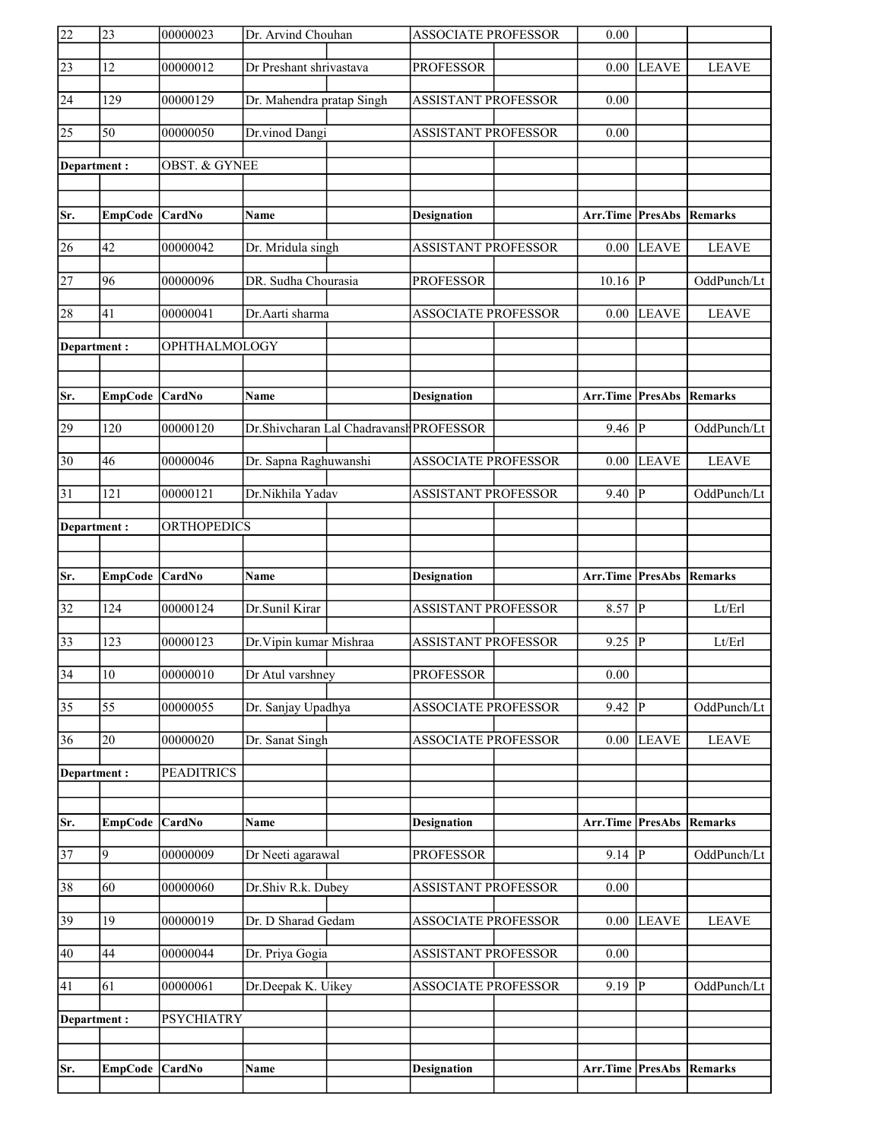| 22              | 23              | 00000023           | Dr. Arvind Chouhan        |                                         | <b>ASSOCIATE PROFESSOR</b> | 0.00                            |                |                |
|-----------------|-----------------|--------------------|---------------------------|-----------------------------------------|----------------------------|---------------------------------|----------------|----------------|
| $\overline{23}$ | 12              | 00000012           | Dr Preshant shrivastava   |                                         | <b>PROFESSOR</b>           | 0.00                            | <b>LEAVE</b>   | <b>LEAVE</b>   |
| 24              | 129             | 00000129           | Dr. Mahendra pratap Singh |                                         | <b>ASSISTANT PROFESSOR</b> | 0.00                            |                |                |
| $\overline{25}$ | 50              | 00000050           | Dr.vinod Dangi            |                                         | ASSISTANT PROFESSOR        | 0.00                            |                |                |
| Department:     |                 | OBST. & GYNEE      |                           |                                         |                            |                                 |                |                |
|                 |                 |                    |                           |                                         |                            |                                 |                |                |
| Sr.             | EmpCode CardNo  |                    | <b>Name</b>               |                                         | <b>Designation</b>         | <b>Arr.Time PresAbs Remarks</b> |                |                |
| 26              | 42              | 00000042           | Dr. Mridula singh         |                                         | <b>ASSISTANT PROFESSOR</b> | 0.00                            | <b>LEAVE</b>   | <b>LEAVE</b>   |
| $\overline{27}$ | 96              | 00000096           | DR. Sudha Chourasia       |                                         | <b>PROFESSOR</b>           | $10.16$ P                       |                | OddPunch/Lt    |
| 28              | 41              | 00000041           | Dr.Aarti sharma           |                                         | <b>ASSOCIATE PROFESSOR</b> | 0.00                            | <b>LEAVE</b>   | <b>LEAVE</b>   |
| Department:     |                 | OPHTHALMOLOGY      |                           |                                         |                            |                                 |                |                |
|                 |                 |                    |                           |                                         |                            |                                 |                |                |
| Sr.             | EmpCode CardNo  |                    | Name                      |                                         | <b>Designation</b>         | <b>Arr.Time PresAbs Remarks</b> |                |                |
| 29              | 120             | 00000120           |                           | Dr.Shivcharan Lal Chadravansh PROFESSOR |                            | 9.46                            | $\overline{P}$ | OddPunch/Lt    |
| $\overline{30}$ | 46              | 00000046           | Dr. Sapna Raghuwanshi     |                                         | <b>ASSOCIATE PROFESSOR</b> | 0.00                            | <b>LEAVE</b>   | <b>LEAVE</b>   |
| 31              | 121             | 00000121           | Dr.Nikhila Yadav          |                                         | ASSISTANT PROFESSOR        | 9.40                            | $\overline{P}$ | OddPunch/Lt    |
| Department:     |                 | <b>ORTHOPEDICS</b> |                           |                                         |                            |                                 |                |                |
|                 |                 |                    |                           |                                         |                            |                                 |                |                |
|                 |                 |                    |                           |                                         |                            |                                 |                |                |
| Sr.             | <b>EmpCode</b>  | CardNo             | Name                      |                                         | <b>Designation</b>         | Arr.Time PresAbs                |                | Remarks        |
| $\overline{32}$ | 124             | 00000124           | Dr.Sunil Kirar            |                                         | <b>ASSISTANT PROFESSOR</b> | 8.57                            | P              | Lt/Erl         |
| $\overline{33}$ | 123             | 00000123           | Dr. Vipin kumar Mishraa   |                                         | <b>ASSISTANT PROFESSOR</b> | 9.25                            | $\overline{P}$ | Lt/Erl         |
| $\overline{34}$ | $\overline{10}$ | 00000010           | Dr Atul varshney          |                                         | <b>PROFESSOR</b>           | 0.00                            |                |                |
| $\overline{35}$ | $\overline{55}$ | 00000055           | Dr. Sanjay Upadhya        |                                         | <b>ASSOCIATE PROFESSOR</b> | 9.42                            | $\mathbf P$    | OddPunch/Lt    |
| 36              | 20              | 00000020           | Dr. Sanat Singh           |                                         | <b>ASSOCIATE PROFESSOR</b> | 0.00                            | <b>LEAVE</b>   | <b>LEAVE</b>   |
| Department:     |                 | <b>PEADITRICS</b>  |                           |                                         |                            |                                 |                |                |
|                 |                 |                    |                           |                                         |                            |                                 |                |                |
| Sr.             | <b>EmpCode</b>  | CardNo             | Name                      |                                         | <b>Designation</b>         | Arr.Time                        | <b>PresAbs</b> | <b>Remarks</b> |
| $\overline{37}$ | 9               | 00000009           | Dr Neeti agarawal         |                                         | <b>PROFESSOR</b>           | 9.14                            | $\overline{P}$ | OddPunch/Lt    |
| 38              | 60              | 00000060           | Dr.Shiv R.k. Dubey        |                                         | <b>ASSISTANT PROFESSOR</b> | 0.00                            |                |                |
| 39              | 19              | 00000019           | Dr. D Sharad Gedam        |                                         | ASSOCIATE PROFESSOR        | 0.00                            | <b>LEAVE</b>   | <b>LEAVE</b>   |
| 40              | 44              | 00000044           | Dr. Priya Gogia           |                                         | <b>ASSISTANT PROFESSOR</b> | 0.00                            |                |                |
| 41              | 61              | 00000061           | Dr.Deepak K. Uikey        |                                         | <b>ASSOCIATE PROFESSOR</b> | 9.19                            | P              | OddPunch/Lt    |
| Department:     |                 | <b>PSYCHIATRY</b>  |                           |                                         |                            |                                 |                |                |
|                 |                 |                    |                           |                                         |                            |                                 |                |                |